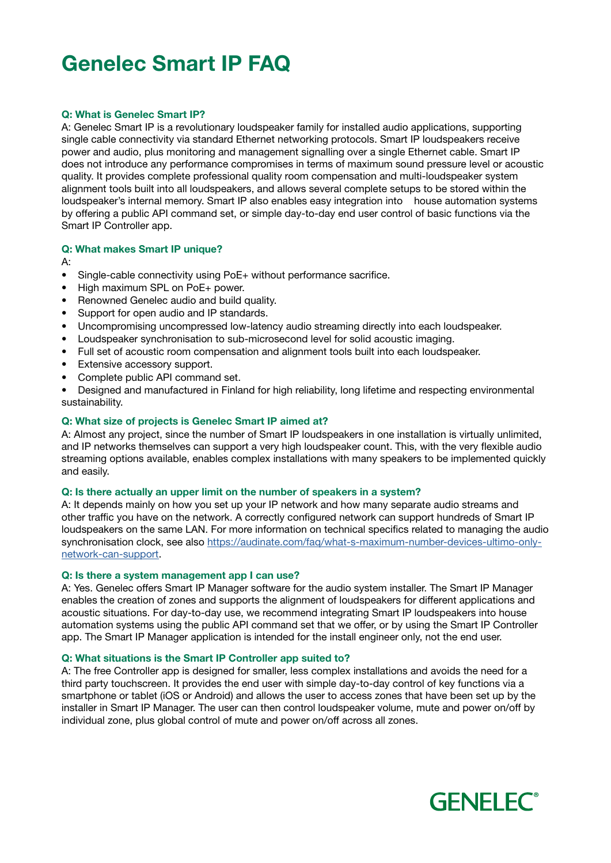# Genelec Smart IP FAQ

# Q: What is Genelec Smart IP?

A: Genelec Smart IP is a revolutionary loudspeaker family for installed audio applications, supporting single cable connectivity via standard Ethernet networking protocols. Smart IP loudspeakers receive power and audio, plus monitoring and management signalling over a single Ethernet cable. Smart IP does not introduce any performance compromises in terms of maximum sound pressure level or acoustic quality. It provides complete professional quality room compensation and multi-loudspeaker system alignment tools built into all loudspeakers, and allows several complete setups to be stored within the loudspeaker's internal memory. Smart IP also enables easy integration into house automation systems by offering a public API command set, or simple day-to-day end user control of basic functions via the Smart IP Controller app.

## Q: What makes Smart IP unique?

A:

- Single-cable connectivity using PoE+ without performance sacrifice.
- High maximum SPL on PoE+ power.
- Renowned Genelec audio and build quality.
- Support for open audio and IP standards.
- Uncompromising uncompressed low-latency audio streaming directly into each loudspeaker.
- Loudspeaker synchronisation to sub-microsecond level for solid acoustic imaging.
- Full set of acoustic room compensation and alignment tools built into each loudspeaker.
- Extensive accessory support.
- Complete public API command set.

• Designed and manufactured in Finland for high reliability, long lifetime and respecting environmental sustainability.

## Q: What size of projects is Genelec Smart IP aimed at?

A: Almost any project, since the number of Smart IP loudspeakers in one installation is virtually unlimited, and IP networks themselves can support a very high loudspeaker count. This, with the very flexible audio streaming options available, enables complex installations with many speakers to be implemented quickly and easily.

## Q: Is there actually an upper limit on the number of speakers in a system?

A: It depends mainly on how you set up your IP network and how many separate audio streams and other traffic you have on the network. A correctly configured network can support hundreds of Smart IP loudspeakers on the same LAN. For more information on technical specifics related to managing the audio synchronisation clock, see also [https://audinate.com/faq/what-s-maximum-number-devices-ultimo-only](http://https://audinate.com/faq/what-s-maximum-number-devices-ultimo-only-network-can-support)[network-can-support.](http://https://audinate.com/faq/what-s-maximum-number-devices-ultimo-only-network-can-support)

## Q: Is there a system management app I can use?

A: Yes. Genelec offers Smart IP Manager software for the audio system installer. The Smart IP Manager enables the creation of zones and supports the alignment of loudspeakers for different applications and acoustic situations. For day-to-day use, we recommend integrating Smart IP loudspeakers into house automation systems using the public API command set that we offer, or by using the Smart IP Controller app. The Smart IP Manager application is intended for the install engineer only, not the end user.

## Q: What situations is the Smart IP Controller app suited to?

A: The free Controller app is designed for smaller, less complex installations and avoids the need for a third party touchscreen. It provides the end user with simple day-to-day control of key functions via a smartphone or tablet (iOS or Android) and allows the user to access zones that have been set up by the installer in Smart IP Manager. The user can then control loudspeaker volume, mute and power on/off by individual zone, plus global control of mute and power on/off across all zones.

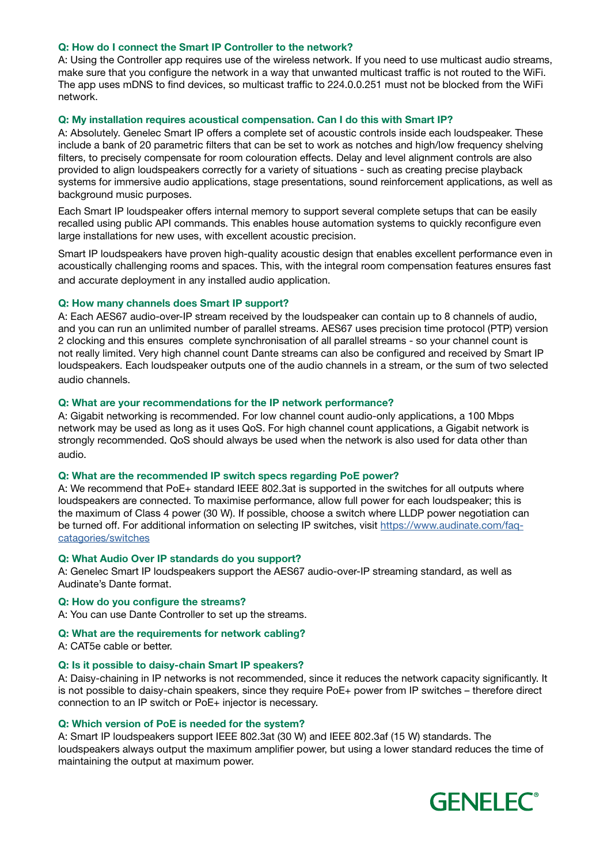## Q: How do I connect the Smart IP Controller to the network?

A: Using the Controller app requires use of the wireless network. If you need to use multicast audio streams, make sure that you configure the network in a way that unwanted multicast traffic is not routed to the WiFi. The app uses mDNS to find devices, so multicast traffic to 224.0.0.251 must not be blocked from the WiFi network.

# Q: My installation requires acoustical compensation. Can I do this with Smart IP?

A: Absolutely. Genelec Smart IP offers a complete set of acoustic controls inside each loudspeaker. These include a bank of 20 parametric filters that can be set to work as notches and high/low frequency shelving filters, to precisely compensate for room colouration effects. Delay and level alignment controls are also provided to align loudspeakers correctly for a variety of situations - such as creating precise playback systems for immersive audio applications, stage presentations, sound reinforcement applications, as well as background music purposes.

Each Smart IP loudspeaker offers internal memory to support several complete setups that can be easily recalled using public API commands. This enables house automation systems to quickly reconfigure even large installations for new uses, with excellent acoustic precision.

Smart IP loudspeakers have proven high-quality acoustic design that enables excellent performance even in acoustically challenging rooms and spaces. This, with the integral room compensation features ensures fast and accurate deployment in any installed audio application.

## Q: How many channels does Smart IP support?

A: Each AES67 audio-over-IP stream received by the loudspeaker can contain up to 8 channels of audio, and you can run an unlimited number of parallel streams. AES67 uses precision time protocol (PTP) version 2 clocking and this ensures complete synchronisation of all parallel streams - so your channel count is not really limited. Very high channel count Dante streams can also be configured and received by Smart IP loudspeakers. Each loudspeaker outputs one of the audio channels in a stream, or the sum of two selected audio channels.

## Q: What are your recommendations for the IP network performance?

A: Gigabit networking is recommended. For low channel count audio-only applications, a 100 Mbps network may be used as long as it uses QoS. For high channel count applications, a Gigabit network is strongly recommended. QoS should always be used when the network is also used for data other than audio.

## Q: What are the recommended IP switch specs regarding PoE power?

A: We recommend that PoE+ standard IEEE 802.3at is supported in the switches for all outputs where loudspeakers are connected. To maximise performance, allow full power for each loudspeaker; this is the maximum of Class 4 power (30 W). If possible, choose a switch where LLDP power negotiation can be turned off. For additional information on selecting IP switches, visit [https://www.audinate.com/faq](https://www.audinate.com/faq-catagories/switches
)[catagories/switches](https://www.audinate.com/faq-catagories/switches
)

## Q: What Audio Over IP standards do you support?

A: Genelec Smart IP loudspeakers support the AES67 audio-over-IP streaming standard, as well as Audinate's Dante format.

## Q: How do you configure the streams?

A: You can use Dante Controller to set up the streams.

## Q: What are the requirements for network cabling?

A: CAT5e cable or better.

## Q: Is it possible to daisy-chain Smart IP speakers?

A: Daisy-chaining in IP networks is not recommended, since it reduces the network capacity significantly. It is not possible to daisy-chain speakers, since they require PoE+ power from IP switches – therefore direct connection to an IP switch or PoE+ injector is necessary.

## Q: Which version of PoE is needed for the system?

A: Smart IP loudspeakers support IEEE 802.3at (30 W) and IEEE 802.3af (15 W) standards. The loudspeakers always output the maximum amplifier power, but using a lower standard reduces the time of maintaining the output at maximum power.